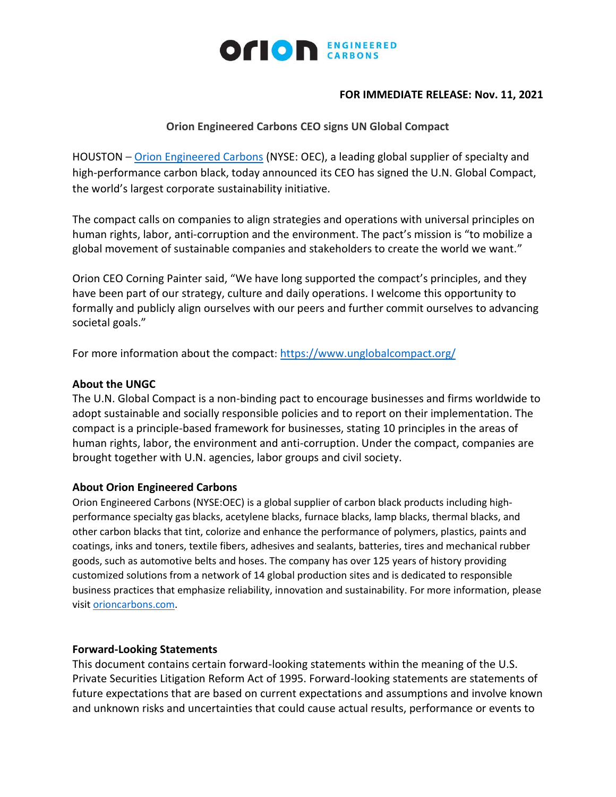

## **FOR IMMEDIATE RELEASE: Nov. 11, 2021**

# **Orion Engineered Carbons CEO signs UN Global Compact**

HOUSTON – [Orion Engineered Carbons](https://www.orioncarbons.com/index_en.php) (NYSE: OEC), a leading global supplier of specialty and high-performance carbon black, today announced its CEO has signed the U.N. Global Compact, the world's largest corporate sustainability initiative.

The compact calls on companies to align strategies and operations with universal principles on human rights, labor, anti-corruption and the environment. The pact's mission is "to mobilize a global movement of sustainable companies and stakeholders to create the world we want."

Orion CEO Corning Painter said, "We have long supported the compact's principles, and they have been part of our strategy, culture and daily operations. I welcome this opportunity to formally and publicly align ourselves with our peers and further commit ourselves to advancing societal goals."

For more information about the compact: <https://www.unglobalcompact.org/>

## **About the UNGC**

The U.N. Global Compact is a non-binding pact to encourage businesses and firms worldwide to adopt sustainable and socially responsible policies and to report on their implementation. The compact is a principle-based framework for businesses, stating 10 principles in the areas of human rights, labor, the environment and anti-corruption. Under the compact, companies are brought together with U.N. agencies, labor groups and civil society.

## **About Orion Engineered Carbons**

Orion Engineered Carbons (NYSE:OEC) is a global supplier of carbon black products including highperformance specialty gas blacks, acetylene blacks, furnace blacks, lamp blacks, thermal blacks, and other carbon blacks that tint, colorize and enhance the performance of polymers, plastics, paints and coatings, inks and toners, textile fibers, adhesives and sealants, batteries, tires and mechanical rubber goods, such as automotive belts and hoses. The company has over 125 years of history providing customized solutions from a network of 14 global production sites and is dedicated to responsible business practices that emphasize reliability, innovation and sustainability. For more information, please visi[t orioncarbons.com.](https://www.orioncarbons.com/index_en.php)

### **Forward-Looking Statements**

This document contains certain forward-looking statements within the meaning of the U.S. Private Securities Litigation Reform Act of 1995. Forward-looking statements are statements of future expectations that are based on current expectations and assumptions and involve known and unknown risks and uncertainties that could cause actual results, performance or events to